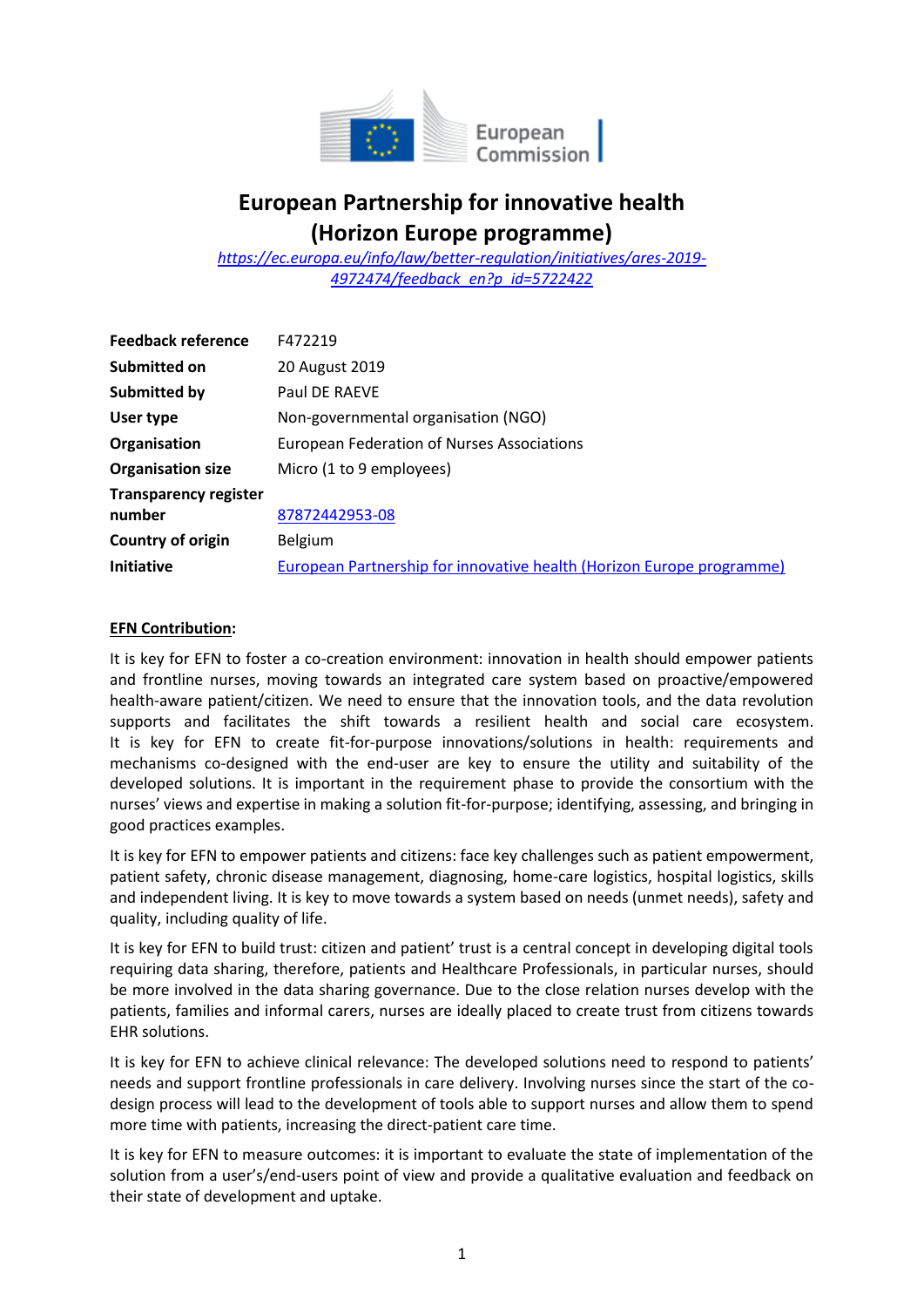

## **European Partnership for innovative health (Horizon Europe programme)**

*[https://ec.europa.eu/info/law/better-regulation/initiatives/ares-2019-](https://ec.europa.eu/info/law/better-regulation/initiatives/ares-2019-4972474/feedback_en?p_id=5722422) [4972474/feedback\\_en?p\\_id=5722422](https://ec.europa.eu/info/law/better-regulation/initiatives/ares-2019-4972474/feedback_en?p_id=5722422)*

| <b>Feedback reference</b>    | F472219                                                               |
|------------------------------|-----------------------------------------------------------------------|
| Submitted on                 | 20 August 2019                                                        |
| <b>Submitted by</b>          | Paul DE RAEVE                                                         |
| User type                    | Non-governmental organisation (NGO)                                   |
| Organisation                 | European Federation of Nurses Associations                            |
| <b>Organisation size</b>     | Micro (1 to 9 employees)                                              |
| <b>Transparency register</b> |                                                                       |
| number                       | 87872442953-08                                                        |
| Country of origin            | <b>Belgium</b>                                                        |
| <b>Initiative</b>            | European Partnership for innovative health (Horizon Europe programme) |

## **EFN Contribution:**

It is key for EFN to foster a co-creation environment: innovation in health should empower patients and frontline nurses, moving towards an integrated care system based on proactive/empowered health-aware patient/citizen. We need to ensure that the innovation tools, and the data revolution supports and facilitates the shift towards a resilient health and social care ecosystem. It is key for EFN to create fit-for-purpose innovations/solutions in health: requirements and mechanisms co-designed with the end-user are key to ensure the utility and suitability of the developed solutions. It is important in the requirement phase to provide the consortium with the nurses' views and expertise in making a solution fit-for-purpose; identifying, assessing, and bringing in good practices examples.

It is key for EFN to empower patients and citizens: face key challenges such as patient empowerment, patient safety, chronic disease management, diagnosing, home-care logistics, hospital logistics, skills and independent living. It is key to move towards a system based on needs (unmet needs), safety and quality, including quality of life.

It is key for EFN to build trust: citizen and patient' trust is a central concept in developing digital tools requiring data sharing, therefore, patients and Healthcare Professionals, in particular nurses, should be more involved in the data sharing governance. Due to the close relation nurses develop with the patients, families and informal carers, nurses are ideally placed to create trust from citizens towards EHR solutions.

It is key for EFN to achieve clinical relevance: The developed solutions need to respond to patients' needs and support frontline professionals in care delivery. Involving nurses since the start of the codesign process will lead to the development of tools able to support nurses and allow them to spend more time with patients, increasing the direct-patient care time.

It is key for EFN to measure outcomes: it is important to evaluate the state of implementation of the solution from a user's/end-users point of view and provide a qualitative evaluation and feedback on their state of development and uptake.